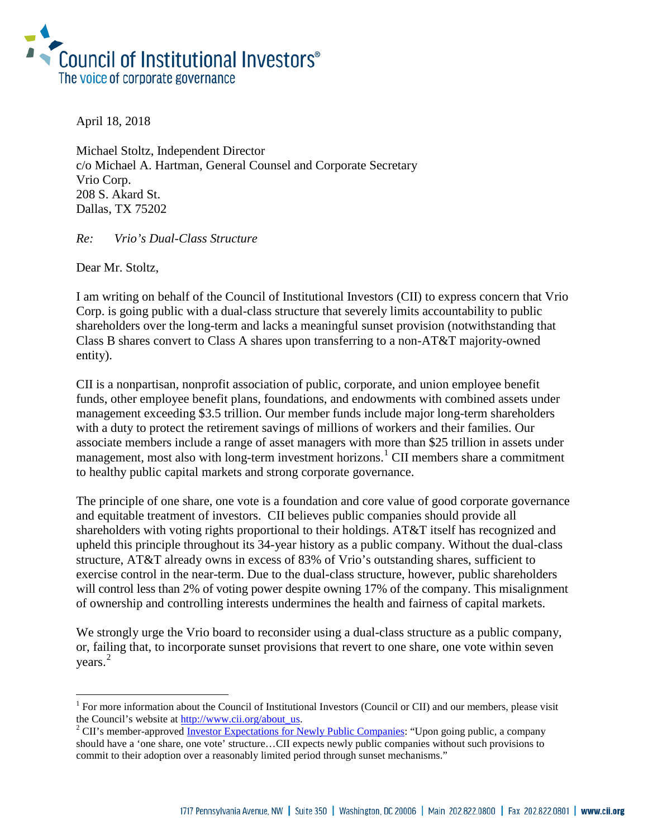

April 18, 2018

Michael Stoltz, Independent Director c/o Michael A. Hartman, General Counsel and Corporate Secretary Vrio Corp. 208 S. Akard St. Dallas, TX 75202

*Re: Vrio's Dual-Class Structure*

Dear Mr. Stoltz,

i<br>I

I am writing on behalf of the Council of Institutional Investors (CII) to express concern that Vrio Corp. is going public with a dual-class structure that severely limits accountability to public shareholders over the long-term and lacks a meaningful sunset provision (notwithstanding that Class B shares convert to Class A shares upon transferring to a non-AT&T majority-owned entity).

CII is a nonpartisan, nonprofit association of public, corporate, and union employee benefit funds, other employee benefit plans, foundations, and endowments with combined assets under management exceeding \$3.5 trillion. Our member funds include major long-term shareholders with a duty to protect the retirement savings of millions of workers and their families. Our associate members include a range of asset managers with more than \$25 trillion in assets under management, most also with long-term investment horizons.<sup>[1](#page-0-0)</sup> CII members share a commitment to healthy public capital markets and strong corporate governance.

The principle of one share, one vote is a foundation and core value of good corporate governance and equitable treatment of investors. CII believes public companies should provide all shareholders with voting rights proportional to their holdings. AT&T itself has recognized and upheld this principle throughout its 34-year history as a public company. Without the dual-class structure, AT&T already owns in excess of 83% of Vrio's outstanding shares, sufficient to exercise control in the near-term. Due to the dual-class structure, however, public shareholders will control less than 2% of voting power despite owning 17% of the company. This misalignment of ownership and controlling interests undermines the health and fairness of capital markets.

We strongly urge the Vrio board to reconsider using a dual-class structure as a public company, or, failing that, to incorporate sunset provisions that revert to one share, one vote within seven years. [2](#page-0-1)

<span id="page-0-0"></span> $1$  For more information about the Council of Institutional Investors (Council or CII) and our members, please visit the Council's website at [http://www.cii.org/about\\_us.](http://www.cii.org/about_us) 2 CII's member-approved [Investor Expectations for Newly Public Companies:](https://www.cii.org/ipo_policy) "Upon going public, a company

<span id="page-0-1"></span>should have a 'one share, one vote' structure…CII expects newly public companies without such provisions to commit to their adoption over a reasonably limited period through sunset mechanisms."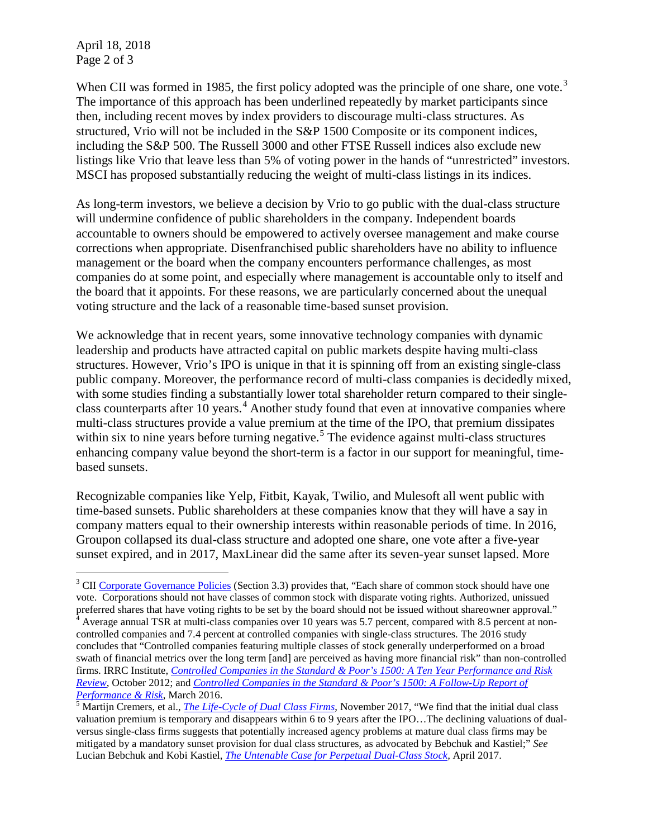April 18, 2018 Page 2 of 3

When CII was formed in 1985, the first policy adopted was the principle of one share, one vote.<sup>[3](#page-1-0)</sup> The importance of this approach has been underlined repeatedly by market participants since then, including recent moves by index providers to discourage multi-class structures. As structured, Vrio will not be included in the S&P 1500 Composite or its component indices, including the S&P 500. The Russell 3000 and other FTSE Russell indices also exclude new listings like Vrio that leave less than 5% of voting power in the hands of "unrestricted" investors. MSCI has proposed substantially reducing the weight of multi-class listings in its indices.

As long-term investors, we believe a decision by Vrio to go public with the dual-class structure will undermine confidence of public shareholders in the company. Independent boards accountable to owners should be empowered to actively oversee management and make course corrections when appropriate. Disenfranchised public shareholders have no ability to influence management or the board when the company encounters performance challenges, as most companies do at some point, and especially where management is accountable only to itself and the board that it appoints. For these reasons, we are particularly concerned about the unequal voting structure and the lack of a reasonable time-based sunset provision.

We acknowledge that in recent years, some innovative technology companies with dynamic leadership and products have attracted capital on public markets despite having multi-class structures. However, Vrio's IPO is unique in that it is spinning off from an existing single-class public company. Moreover, the performance record of multi-class companies is decidedly mixed, with some studies finding a substantially lower total shareholder return compared to their singleclass counterparts after 10 years. [4](#page-1-1) Another study found that even at innovative companies where multi-class structures provide a value premium at the time of the IPO, that premium dissipates within six to nine years before turning negative.<sup>[5](#page-1-2)</sup> The evidence against multi-class structures enhancing company value beyond the short-term is a factor in our support for meaningful, timebased sunsets.

Recognizable companies like Yelp, Fitbit, Kayak, Twilio, and Mulesoft all went public with time-based sunsets. Public shareholders at these companies know that they will have a say in company matters equal to their ownership interests within reasonable periods of time. In 2016, Groupon collapsed its dual-class structure and adopted one share, one vote after a five-year sunset expired, and in 2017, MaxLinear did the same after its seven-year sunset lapsed. More

<span id="page-1-0"></span>i <sup>3</sup> CI[I Corporate Governance Policies](http://www.cii.org/files/policies/09_30_16_corp_gov_policies.pdf) (Section 3.3) provides that, "Each share of common stock should have one vote. Corporations should not have classes of common stock with disparate voting rights. Authorized, unissued

<span id="page-1-1"></span>preferred shares that have voting rights to be set by the board should not be issued without shareowner approval."<br><sup>4</sup> Average annual TSR at multi-class companies over 10 years was 5.7 percent, compared with 8.5 percent at controlled companies and 7.4 percent at controlled companies with single-class structures. The 2016 study concludes that "Controlled companies featuring multiple classes of stock generally underperformed on a broad swath of financial metrics over the long term [and] are perceived as having more financial risk" than non-controlled firms. IRRC Institute, *[Controlled Companies in the Standard & Poor's 1500: A Ten Year Performance and Risk](https://irrcinstitute.org/wp-content/uploads/2015/09/FINAL-Controlled-Company-ISS-Report1.pdf)  [Review](https://irrcinstitute.org/wp-content/uploads/2015/09/FINAL-Controlled-Company-ISS-Report1.pdf)*, October 2012; and *[Controlled Companies in the Standard & Poor's 1500: A Follow-Up Report of](https://irrcinstitute.org/wp-content/uploads/2016/03/Controlled-Companies-IRRCI-2015-FINAL-3-16-16.pdf)* 

<span id="page-1-2"></span>*Performance & Risk*[,](https://irrcinstitute.org/wp-content/uploads/2016/03/Controlled-Companies-IRRCI-2015-FINAL-3-16-16.pdf) March 2016.<br><sup>[5](https://irrcinstitute.org/wp-content/uploads/2016/03/Controlled-Companies-IRRCI-2015-FINAL-3-16-16.pdf)</sup> Martijn Cremers, et al., *<u>[The Life-Cycle of Dual Class Firms](https://papers.ssrn.com/sol3/papers.cfm?abstract_id=3062895)</u>*, November 2017, "We find that the initial dual class valuation premium is temporary and disappears within 6 to 9 years after the IPO…The declining valuations of dualversus single-class firms suggests that potentially increased agency problems at mature dual class firms may be mitigated by a mandatory sunset provision for dual class structures, as advocated by Bebchuk and Kastiel;" *See*  Lucian Bebchuk and Kobi Kastiel, *[The Untenable Case for Perpetual Dual-Class Stock,](https://papers.ssrn.com/sol3/papers.cfm?abstract_id=2954630)* April 2017.